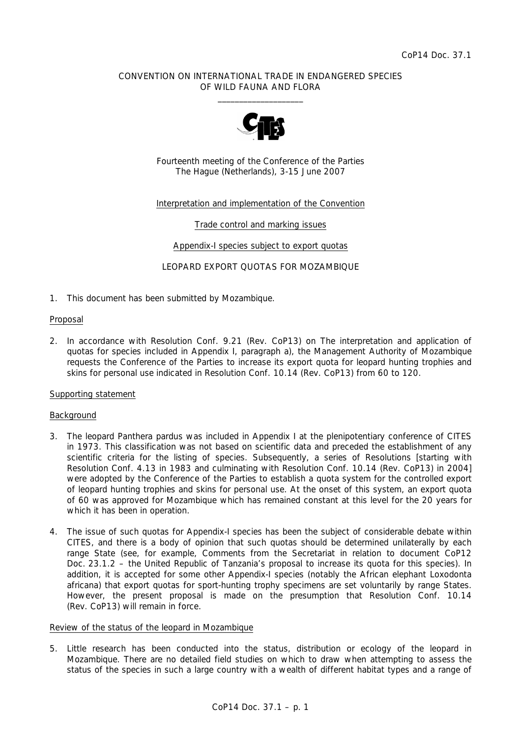## CONVENTION ON INTERNATIONAL TRADE IN ENDANGERED SPECIES OF WILD FAUNA AND FLORA  $\frac{1}{2}$  ,  $\frac{1}{2}$  ,  $\frac{1}{2}$  ,  $\frac{1}{2}$  ,  $\frac{1}{2}$  ,  $\frac{1}{2}$  ,  $\frac{1}{2}$  ,  $\frac{1}{2}$  ,  $\frac{1}{2}$  ,  $\frac{1}{2}$  ,  $\frac{1}{2}$  ,  $\frac{1}{2}$  ,  $\frac{1}{2}$  ,  $\frac{1}{2}$  ,  $\frac{1}{2}$  ,  $\frac{1}{2}$  ,  $\frac{1}{2}$  ,  $\frac{1}{2}$  ,  $\frac{1$



Fourteenth meeting of the Conference of the Parties The Hague (Netherlands), 3-15 June 2007

# Interpretation and implementation of the Convention

## Trade control and marking issues

### Appendix-I species subject to export quotas

LEOPARD EXPORT QUOTAS FOR MOZAMBIQUE

1. This document has been submitted by Mozambique.

### Proposal

2. In accordance with Resolution Conf. 9.21 (Rev. CoP13) on The interpretation and application of quotas for species included in Appendix I, paragraph a), the Management Authority of Mozambique requests the Conference of the Parties to increase its export quota for leopard hunting trophies and skins for personal use indicated in Resolution Conf. 10.14 (Rev. CoP13) from 60 to 120.

### Supporting statement

### Background

- 3. The leopard *Panthera pardus* was included in Appendix I at the plenipotentiary conference of CITES in 1973. This classification was not based on scientific data and preceded the establishment of any scientific criteria for the listing of species. Subsequently, a series of Resolutions [starting with Resolution Conf. 4.13 in 1983 and culminating with Resolution Conf. 10.14 (Rev. CoP13) in 2004] were adopted by the Conference of the Parties to establish a quota system for the controlled export of leopard hunting trophies and skins for personal use. At the onset of this system, an export quota of 60 was approved for Mozambique which has remained constant at this level for the 20 years for which it has been in operation.
- 4. The issue of such quotas for Appendix-I species has been the subject of considerable debate within CITES, and there is a body of opinion that such quotas should be determined unilaterally by each range State (see, for example, Comments from the Secretariat in relation to document CoP12 Doc. 23.1.2 – the United Republic of Tanzania's proposal to increase its quota for this species). In addition, it is accepted for some other Appendix-I species (notably the African elephant *Loxodonta africana*) that export quotas for sport-hunting trophy specimens are set voluntarily by range States. However, the present proposal is made on the presumption that Resolution Conf. 10.14 (Rev. CoP13) will remain in force.

# Review of the status of the leopard in Mozambique

5. Little research has been conducted into the status, distribution or ecology of the leopard in Mozambique. There are no detailed field studies on which to draw when attempting to assess the status of the species in such a large country with a wealth of different habitat types and a range of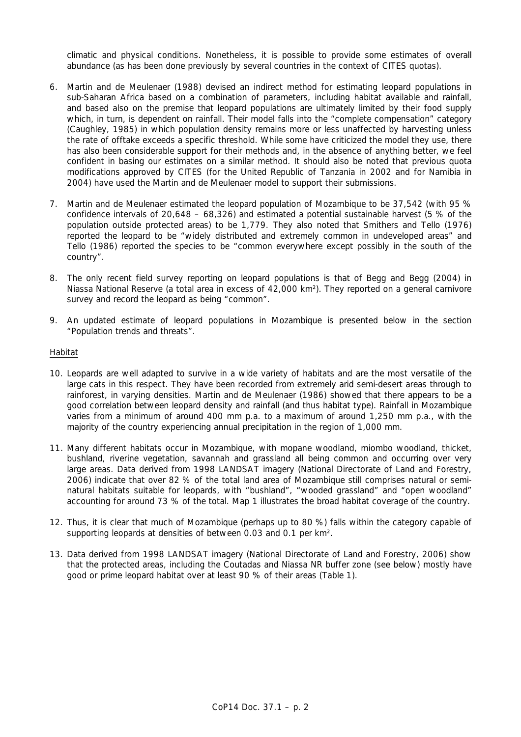climatic and physical conditions. Nonetheless, it is possible to provide some estimates of overall abundance (as has been done previously by several countries in the context of CITES quotas).

- 6. Martin and de Meulenaer (1988) devised an indirect method for estimating leopard populations in sub-Saharan Africa based on a combination of parameters, including habitat available and rainfall, and based also on the premise that leopard populations are ultimately limited by their food supply which, in turn, is dependent on rainfall. Their model falls into the "complete compensation" category (Caughley, 1985) in which population density remains more or less unaffected by harvesting unless the rate of offtake exceeds a specific threshold. While some have criticized the model they use, there has also been considerable support for their methods and, in the absence of anything better, we feel confident in basing our estimates on a similar method. It should also be noted that previous quota modifications approved by CITES (for the United Republic of Tanzania in 2002 and for Namibia in 2004) have used the Martin and de Meulenaer model to support their submissions.
- 7. Martin and de Meulenaer estimated the leopard population of Mozambique to be 37,542 (with 95 % confidence intervals of 20,648 – 68,326) and estimated a potential sustainable harvest (5 % of the population outside protected areas) to be 1,779. They also noted that Smithers and Tello (1976) reported the leopard to be "widely distributed and extremely common in undeveloped areas" and Tello (1986) reported the species to be "common everywhere except possibly in the south of the country".
- 8. The only recent field survey reporting on leopard populations is that of Begg and Begg (2004) in Niassa National Reserve (a total area in excess of 42,000 km²). They reported on a general carnivore survey and record the leopard as being "common".
- 9. An updated estimate of leopard populations in Mozambique is presented below in the section "Population trends and threats".

## Habitat

- 10. Leopards are well adapted to survive in a wide variety of habitats and are the most versatile of the large cats in this respect. They have been recorded from extremely arid semi-desert areas through to rainforest, in varying densities. Martin and de Meulenaer (1986) showed that there appears to be a good correlation between leopard density and rainfall (and thus habitat type). Rainfall in Mozambique varies from a minimum of around 400 mm p.a. to a maximum of around 1,250 mm p.a., with the majority of the country experiencing annual precipitation in the region of 1,000 mm.
- 11. Many different habitats occur in Mozambique, with mopane woodland, miombo woodland, thicket, bushland, riverine vegetation, savannah and grassland all being common and occurring over very large areas. Data derived from 1998 LANDSAT imagery (National Directorate of Land and Forestry, 2006) indicate that over 82 % of the total land area of Mozambique still comprises natural or seminatural habitats suitable for leopards, with "bushland", "wooded grassland" and "open woodland" accounting for around 73 % of the total. Map 1 illustrates the broad habitat coverage of the country.
- 12. Thus, it is clear that much of Mozambique (perhaps up to 80 %) falls within the category capable of supporting leopards at densities of between 0.03 and 0.1 per km².
- 13. Data derived from 1998 LANDSAT imagery (National Directorate of Land and Forestry, 2006) show that the protected areas, including the Coutadas and Niassa NR buffer zone (see below) mostly have good or prime leopard habitat over at least 90 % of their areas (Table 1).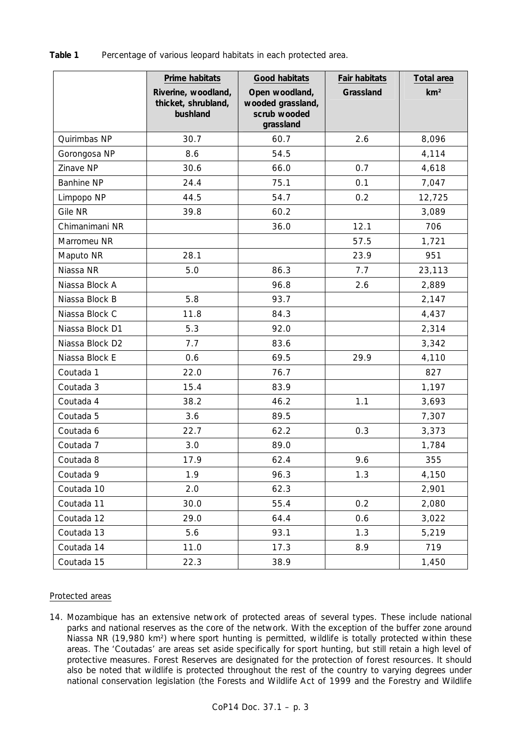**Table 1** Percentage of various leopard habitats in each protected area.

|                   | Prime habitats<br>Riverine, woodland,<br>thicket, shrubland,<br>bushland | Good habitats<br>Open woodland,<br>wooded grassland,<br>scrub wooded<br>grassland | Fair habitats<br>Grassland | <b>Total area</b><br>km <sup>2</sup> |
|-------------------|--------------------------------------------------------------------------|-----------------------------------------------------------------------------------|----------------------------|--------------------------------------|
| Quirimbas NP      | 30.7                                                                     | 60.7                                                                              | 2.6                        | 8,096                                |
| Gorongosa NP      | 8.6                                                                      | 54.5                                                                              |                            | 4,114                                |
| Zinave NP         | 30.6                                                                     | 66.0                                                                              | 0.7                        | 4,618                                |
| <b>Banhine NP</b> | 24.4                                                                     | 75.1                                                                              | 0.1                        | 7,047                                |
| Limpopo NP        | 44.5                                                                     | 54.7                                                                              | 0.2                        | 12,725                               |
| Gile NR           | 39.8                                                                     | 60.2                                                                              |                            | 3,089                                |
| Chimanimani NR    |                                                                          | 36.0                                                                              | 12.1                       | 706                                  |
| Marromeu NR       |                                                                          |                                                                                   | 57.5                       | 1,721                                |
| Maputo NR         | 28.1                                                                     |                                                                                   | 23.9                       | 951                                  |
| Niassa NR         | 5.0                                                                      | 86.3                                                                              | 7.7                        | 23,113                               |
| Niassa Block A    |                                                                          | 96.8                                                                              | 2.6                        | 2,889                                |
| Niassa Block B    | 5.8                                                                      | 93.7                                                                              |                            | 2,147                                |
| Niassa Block C    | 11.8                                                                     | 84.3                                                                              |                            | 4,437                                |
| Niassa Block D1   | 5.3                                                                      | 92.0                                                                              |                            | 2,314                                |
| Niassa Block D2   | 7.7                                                                      | 83.6                                                                              |                            | 3,342                                |
| Niassa Block E    | 0.6                                                                      | 69.5                                                                              | 29.9                       | 4,110                                |
| Coutada 1         | 22.0                                                                     | 76.7                                                                              |                            | 827                                  |
| Coutada 3         | 15.4                                                                     | 83.9                                                                              |                            | 1,197                                |
| Coutada 4         | 38.2                                                                     | 46.2                                                                              | 1.1                        | 3,693                                |
| Coutada 5         | 3.6                                                                      | 89.5                                                                              |                            | 7,307                                |
| Coutada 6         | 22.7                                                                     | 62.2                                                                              | 0.3                        | 3,373                                |
| Coutada 7         | 3.0                                                                      | 89.0                                                                              |                            | 1,784                                |
| Coutada 8         | 17.9                                                                     | 62.4                                                                              | 9.6                        | 355                                  |
| Coutada 9         | 1.9                                                                      | 96.3                                                                              | 1.3                        | 4,150                                |
| Coutada 10        | 2.0                                                                      | 62.3                                                                              |                            | 2,901                                |
| Coutada 11        | 30.0                                                                     | 55.4                                                                              | 0.2                        | 2,080                                |
| Coutada 12        | 29.0                                                                     | 64.4                                                                              | 0.6                        | 3,022                                |
| Coutada 13        | 5.6                                                                      | 93.1                                                                              | 1.3                        | 5,219                                |
| Coutada 14        | 11.0                                                                     | 17.3                                                                              | 8.9                        | 719                                  |
| Coutada 15        | 22.3                                                                     | 38.9                                                                              |                            | 1,450                                |

# Protected areas

14. Mozambique has an extensive network of protected areas of several types. These include national parks and national reserves as the core of the network. With the exception of the buffer zone around Niassa NR (19,980 km²) where sport hunting is permitted, wildlife is totally protected within these areas. The 'Coutadas' are areas set aside specifically for sport hunting, but still retain a high level of protective measures. Forest Reserves are designated for the protection of forest resources. It should also be noted that wildlife is protected throughout the rest of the country to varying degrees under national conservation legislation (the Forests and Wildlife Act of 1999 and the Forestry and Wildlife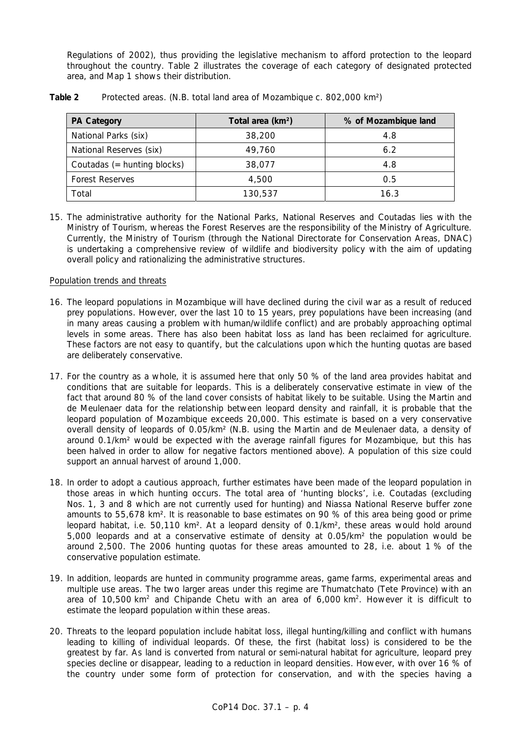Regulations of 2002), thus providing the legislative mechanism to afford protection to the leopard throughout the country. Table 2 illustrates the coverage of each category of designated protected area, and Map 1 shows their distribution.

| <b>PA Category</b>          | Total area (km <sup>2</sup> ) | % of Mozambique land |  |
|-----------------------------|-------------------------------|----------------------|--|
| National Parks (six)        | 38,200                        | 4.8                  |  |
| National Reserves (six)     | 49.760                        | 6.2                  |  |
| Coutadas (= hunting blocks) | 38,077                        | 4.8                  |  |
| <b>Forest Reserves</b>      | 4,500                         | 0.5                  |  |
| Total                       | 130,537                       | 16.3                 |  |

# **Table 2** Protected areas. (N.B. total land area of Mozambique c. 802,000 km²)

15. The administrative authority for the National Parks, National Reserves and Coutadas lies with the Ministry of Tourism, whereas the Forest Reserves are the responsibility of the Ministry of Agriculture. Currently, the Ministry of Tourism (through the National Directorate for Conservation Areas, DNAC) is undertaking a comprehensive review of wildlife and biodiversity policy with the aim of updating overall policy and rationalizing the administrative structures.

# Population trends and threats

- 16. The leopard populations in Mozambique will have declined during the civil war as a result of reduced prey populations. However, over the last 10 to 15 years, prey populations have been increasing (and in many areas causing a problem with human/wildlife conflict) and are probably approaching optimal levels in some areas. There has also been habitat loss as land has been reclaimed for agriculture. These factors are not easy to quantify, but the calculations upon which the hunting quotas are based are deliberately conservative.
- 17. For the country as a whole, it is assumed here that only 50 % of the land area provides habitat and conditions that are suitable for leopards. This is a deliberately conservative estimate in view of the fact that around 80 % of the land cover consists of habitat likely to be suitable. Using the Martin and de Meulenaer data for the relationship between leopard density and rainfall, it is probable that the leopard population of Mozambique exceeds 20,000. This estimate is based on a very conservative overall density of leopards of 0.05/km² (N.B. using the Martin and de Meulenaer data, a density of around 0.1/km² would be expected with the average rainfall figures for Mozambique, but this has been halved in order to allow for negative factors mentioned above). A population of this size could support an annual harvest of around 1,000.
- 18. In order to adopt a cautious approach, further estimates have been made of the leopard population in those areas in which hunting occurs. The total area of 'hunting blocks', i.e. Coutadas (excluding Nos. 1, 3 and 8 which are not currently used for hunting) and Niassa National Reserve buffer zone amounts to 55,678 km². It is reasonable to base estimates on 90 % of this area being good or prime leopard habitat, i.e. 50,110 km². At a leopard density of 0.1/km², these areas would hold around 5,000 leopards and at a conservative estimate of density at 0.05/km² the population would be around 2,500. The 2006 hunting quotas for these areas amounted to 28, i.e. about 1 % of the conservative population estimate.
- 19. In addition, leopards are hunted in community programme areas, game farms, experimental areas and multiple use areas. The two larger areas under this regime are Thumatchato (Tete Province) with an area of 10,500 km<sup>2</sup> and Chipande Chetu with an area of 6,000 km<sup>2</sup>. However it is difficult to estimate the leopard population within these areas.
- 20. Threats to the leopard population include habitat loss, illegal hunting/killing and conflict with humans leading to killing of individual leopards. Of these, the first (habitat loss) is considered to be the greatest by far. As land is converted from natural or semi-natural habitat for agriculture, leopard prey species decline or disappear, leading to a reduction in leopard densities. However, with over 16 % of the country under some form of protection for conservation, and with the species having a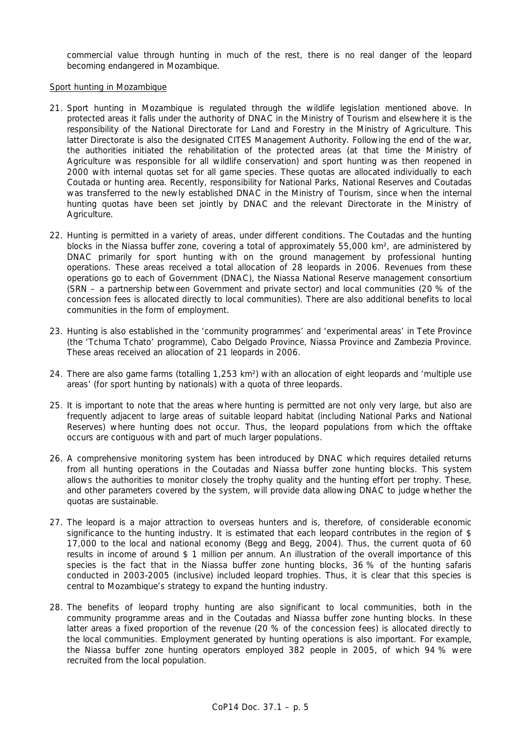commercial value through hunting in much of the rest, there is no real danger of the leopard becoming endangered in Mozambique.

### Sport hunting in Mozambique

- 21. Sport hunting in Mozambique is regulated through the wildlife legislation mentioned above. In protected areas it falls under the authority of DNAC in the Ministry of Tourism and elsewhere it is the responsibility of the National Directorate for Land and Forestry in the Ministry of Agriculture. This latter Directorate is also the designated CITES Management Authority. Following the end of the war, the authorities initiated the rehabilitation of the protected areas (at that time the Ministry of Agriculture was responsible for all wildlife conservation) and sport hunting was then reopened in 2000 with internal quotas set for all game species. These quotas are allocated individually to each Coutada or hunting area. Recently, responsibility for National Parks, National Reserves and Coutadas was transferred to the newly established DNAC in the Ministry of Tourism, since when the internal hunting quotas have been set jointly by DNAC and the relevant Directorate in the Ministry of Agriculture.
- 22. Hunting is permitted in a variety of areas, under different conditions. The Coutadas and the hunting blocks in the Niassa buffer zone, covering a total of approximately 55,000 km², are administered by DNAC primarily for sport hunting with on the ground management by professional hunting operations. These areas received a total allocation of 28 leopards in 2006. Revenues from these operations go to each of Government (DNAC), the Niassa National Reserve management consortium (SRN – a partnership between Government and private sector) and local communities (20 % of the concession fees is allocated directly to local communities). There are also additional benefits to local communities in the form of employment.
- 23. Hunting is also established in the 'community programmes' and 'experimental areas' in Tete Province (the 'Tchuma Tchato' programme), Cabo Delgado Province, Niassa Province and Zambezia Province. These areas received an allocation of 21 leopards in 2006.
- 24. There are also game farms (totalling 1,253 km<sup>2</sup>) with an allocation of eight leopards and 'multiple use areas' (for sport hunting by nationals) with a quota of three leopards.
- 25. It is important to note that the areas where hunting is permitted are not only very large, but also are frequently adjacent to large areas of suitable leopard habitat (including National Parks and National Reserves) where hunting does not occur. Thus, the leopard populations from which the offtake occurs are contiguous with and part of much larger populations.
- 26. A comprehensive monitoring system has been introduced by DNAC which requires detailed returns from all hunting operations in the Coutadas and Niassa buffer zone hunting blocks. This system allows the authorities to monitor closely the trophy quality and the hunting effort per trophy. These, and other parameters covered by the system, will provide data allowing DNAC to judge whether the quotas are sustainable.
- 27. The leopard is a major attraction to overseas hunters and is, therefore, of considerable economic significance to the hunting industry. It is estimated that each leopard contributes in the region of \$ 17,000 to the local and national economy (Begg and Begg, 2004). Thus, the current quota of 60 results in income of around \$ 1 million per annum. An illustration of the overall importance of this species is the fact that in the Niassa buffer zone hunting blocks, 36 % of the hunting safaris conducted in 2003-2005 (inclusive) included leopard trophies. Thus, it is clear that this species is central to Mozambique's strategy to expand the hunting industry.
- 28. The benefits of leopard trophy hunting are also significant to local communities, both in the community programme areas and in the Coutadas and Niassa buffer zone hunting blocks. In these latter areas a fixed proportion of the revenue (20 % of the concession fees) is allocated directly to the local communities. Employment generated by hunting operations is also important. For example, the Niassa buffer zone hunting operators employed 382 people in 2005, of which 94 % were recruited from the local population.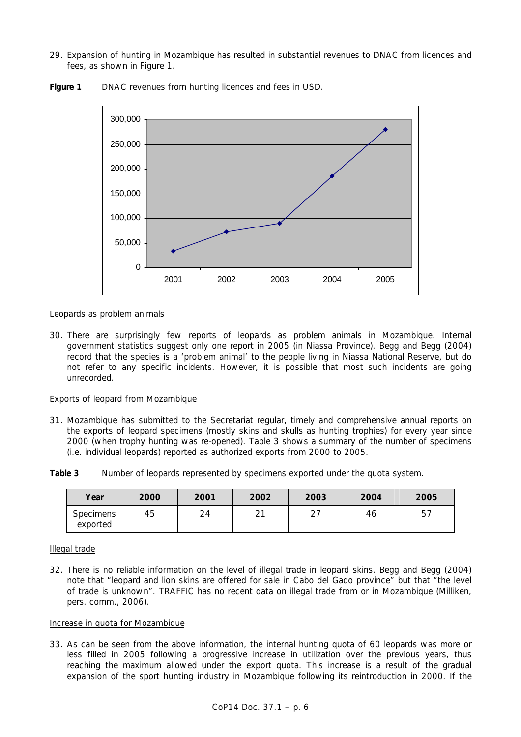29. Expansion of hunting in Mozambique has resulted in substantial revenues to DNAC from licences and fees, as shown in Figure 1.



Figure 1 DNAC revenues from hunting licences and fees in USD.

## Leopards as problem animals

30. There are surprisingly few reports of leopards as problem animals in Mozambique. Internal government statistics suggest only one report in 2005 (in Niassa Province). Begg and Begg (2004) record that the species is a 'problem animal' to the people living in Niassa National Reserve, but do not refer to any specific incidents. However, it is possible that most such incidents are going unrecorded.

## Exports of leopard from Mozambique

31. Mozambique has submitted to the Secretariat regular, timely and comprehensive annual reports on the exports of leopard specimens (mostly skins and skulls as hunting trophies) for every year since 2000 (when trophy hunting was re-opened). Table 3 shows a summary of the number of specimens (i.e. individual leopards) reported as authorized exports from 2000 to 2005.

**Table 3** Number of leopards represented by specimens exported under the quota system.

| Year                         | 2000 | 2001 | 2002 | 2003          | 2004 | 2005 |
|------------------------------|------|------|------|---------------|------|------|
| <b>Specimens</b><br>exported | 45   | 24   | ົາ   | $\cap$<br>، ے | 46   | 5,   |

### Illegal trade

32. There is no reliable information on the level of illegal trade in leopard skins. Begg and Begg (2004) note that "leopard and lion skins are offered for sale in Cabo del Gado province" but that "the level of trade is unknown". TRAFFIC has no recent data on illegal trade from or in Mozambique (Milliken, pers. comm., 2006).

# Increase in quota for Mozambique

33. As can be seen from the above information, the internal hunting quota of 60 leopards was more or less filled in 2005 following a progressive increase in utilization over the previous years, thus reaching the maximum allowed under the export quota. This increase is a result of the gradual expansion of the sport hunting industry in Mozambique following its reintroduction in 2000. If the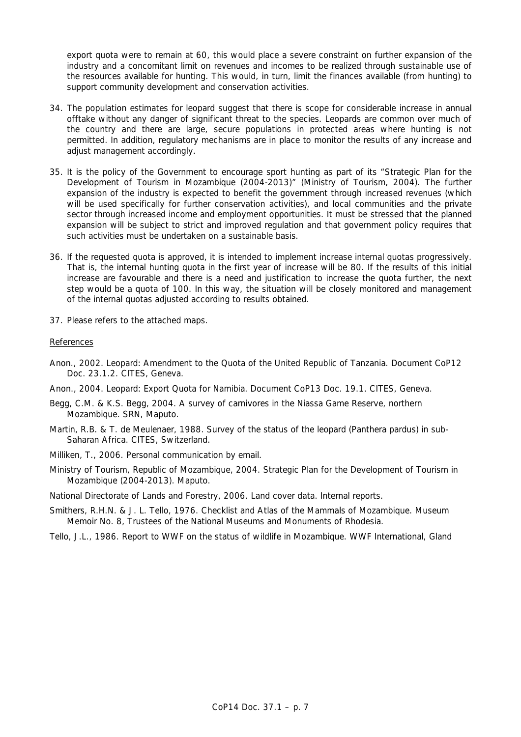export quota were to remain at 60, this would place a severe constraint on further expansion of the industry and a concomitant limit on revenues and incomes to be realized through sustainable use of the resources available for hunting. This would, in turn, limit the finances available (from hunting) to support community development and conservation activities.

- 34. The population estimates for leopard suggest that there is scope for considerable increase in annual offtake without any danger of significant threat to the species. Leopards are common over much of the country and there are large, secure populations in protected areas where hunting is not permitted. In addition, regulatory mechanisms are in place to monitor the results of any increase and adiust management accordingly.
- 35. It is the policy of the Government to encourage sport hunting as part of its "Strategic Plan for the Development of Tourism in Mozambique (2004-2013)" (Ministry of Tourism, 2004). The further expansion of the industry is expected to benefit the government through increased revenues (which will be used specifically for further conservation activities), and local communities and the private sector through increased income and employment opportunities. It must be stressed that the planned expansion will be subject to strict and improved regulation and that government policy requires that such activities must be undertaken on a sustainable basis.
- 36. If the requested quota is approved, it is intended to implement increase internal quotas progressively. That is, the internal hunting quota in the first year of increase will be 80. If the results of this initial increase are favourable and there is a need and justification to increase the quota further, the next step would be a quota of 100. In this way, the situation will be closely monitored and management of the internal quotas adjusted according to results obtained.
- 37. Please refers to the attached maps.

### References

- Anon., 2002. Leopard: Amendment to the Quota of the United Republic of Tanzania. Document CoP12 Doc. 23.1.2. CITES, Geneva.
- Anon., 2004. Leopard: Export Quota for Namibia. Document CoP13 Doc. 19.1. CITES, Geneva.
- Begg, C.M. & K.S. Begg, 2004. A survey of carnivores in the Niassa Game Reserve, northern Mozambique. SRN, Maputo.
- Martin, R.B. & T. de Meulenaer, 1988. Survey of the status of the leopard (*Panthera pardus*) in sub-Saharan Africa. CITES, Switzerland.
- Milliken, T., 2006. Personal communication by email.
- Ministry of Tourism, Republic of Mozambique, 2004. Strategic Plan for the Development of Tourism in Mozambique (2004-2013). Maputo.
- National Directorate of Lands and Forestry, 2006. Land cover data. Internal reports.
- Smithers, R.H.N. & J. L. Tello, 1976. Checklist and Atlas of the Mammals of Mozambique. Museum Memoir No. 8, Trustees of the National Museums and Monuments of Rhodesia.
- Tello, J.L., 1986. Report to WWF on the status of wildlife in Mozambique. WWF International, Gland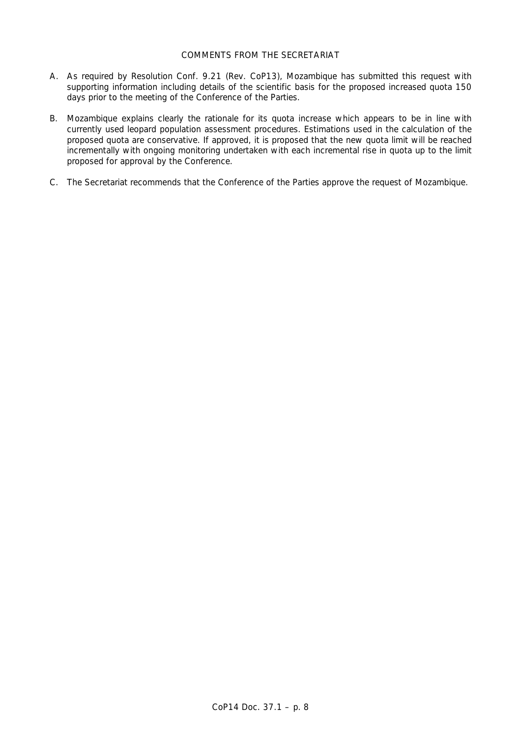# COMMENTS FROM THE SECRETARIAT

- A. As required by Resolution Conf. 9.21 (Rev. CoP13), Mozambique has submitted this request with supporting information including details of the scientific basis for the proposed increased quota 150 days prior to the meeting of the Conference of the Parties.
- B. Mozambique explains clearly the rationale for its quota increase which appears to be in line with currently used leopard population assessment procedures. Estimations used in the calculation of the proposed quota are conservative. If approved, it is proposed that the new quota limit will be reached incrementally with ongoing monitoring undertaken with each incremental rise in quota up to the limit proposed for approval by the Conference.
- C. The Secretariat recommends that the Conference of the Parties approve the request of Mozambique.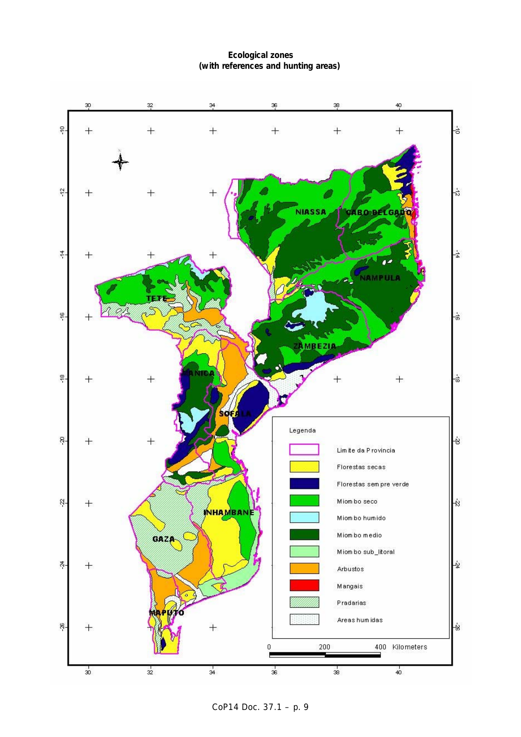# **Ecological zones (with references and hunting areas)**



CoP14 Doc. 37.1 – p. 9